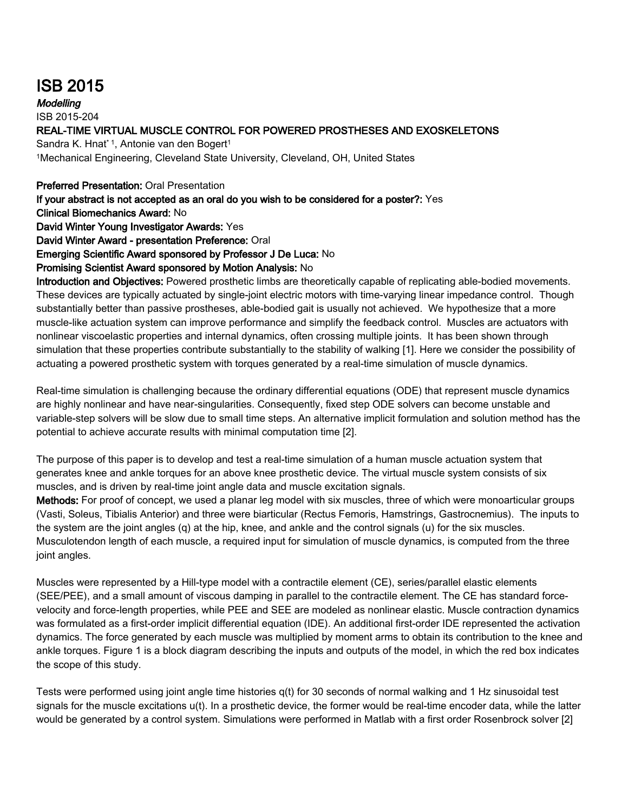## ISB 2015

**Modelling** ISB 2015-204 REAL-TIME VIRTUAL MUSCLE CONTROL FOR POWERED PROSTHESES AND EXOSKELETONS Sandra K. Hnat<sup>\* 1</sup>, Antonie van den Bogert<sup>1</sup> <sup>1</sup>Mechanical Engineering, Cleveland State University, Cleveland, OH, United States

## Preferred Presentation: Oral Presentation

If your abstract is not accepted as an oral do you wish to be considered for a poster?: Yes

Clinical Biomechanics Award: No

David Winter Young Investigator Awards: Yes

David Winter Award - presentation Preference: Oral

Emerging Scientific Award sponsored by Professor J De Luca: No

## Promising Scientist Award sponsored by Motion Analysis: No

Introduction and Objectives: Powered prosthetic limbs are theoretically capable of replicating able-bodied movements. These devices are typically actuated by single-joint electric motors with time-varying linear impedance control. Though substantially better than passive prostheses, able-bodied gait is usually not achieved. We hypothesize that a more muscle-like actuation system can improve performance and simplify the feedback control. Muscles are actuators with nonlinear viscoelastic properties and internal dynamics, often crossing multiple joints. It has been shown through simulation that these properties contribute substantially to the stability of walking [1]. Here we consider the possibility of actuating a powered prosthetic system with torques generated by a real-time simulation of muscle dynamics.

Real-time simulation is challenging because the ordinary differential equations (ODE) that represent muscle dynamics are highly nonlinear and have near-singularities. Consequently, fixed step ODE solvers can become unstable and variable-step solvers will be slow due to small time steps. An alternative implicit formulation and solution method has the potential to achieve accurate results with minimal computation time [2].

The purpose of this paper is to develop and test a real-time simulation of a human muscle actuation system that generates knee and ankle torques for an above knee prosthetic device. The virtual muscle system consists of six muscles, and is driven by real-time joint angle data and muscle excitation signals.

Methods: For proof of concept, we used a planar leg model with six muscles, three of which were monoarticular groups (Vasti, Soleus, Tibialis Anterior) and three were biarticular (Rectus Femoris, Hamstrings, Gastrocnemius). The inputs to the system are the joint angles (q) at the hip, knee, and ankle and the control signals (u) for the six muscles. Musculotendon length of each muscle, a required input for simulation of muscle dynamics, is computed from the three joint angles.

Muscles were represented by a Hill-type model with a contractile element (CE), series/parallel elastic elements (SEE/PEE), and a small amount of viscous damping in parallel to the contractile element. The CE has standard forcevelocity and force-length properties, while PEE and SEE are modeled as nonlinear elastic. Muscle contraction dynamics was formulated as a first-order implicit differential equation (IDE). An additional first-order IDE represented the activation dynamics. The force generated by each muscle was multiplied by moment arms to obtain its contribution to the knee and ankle torques. Figure 1 is a block diagram describing the inputs and outputs of the model, in which the red box indicates the scope of this study.

Tests were performed using joint angle time histories q(t) for 30 seconds of normal walking and 1 Hz sinusoidal test signals for the muscle excitations u(t). In a prosthetic device, the former would be real-time encoder data, while the latter would be generated by a control system. Simulations were performed in Matlab with a first order Rosenbrock solver [2]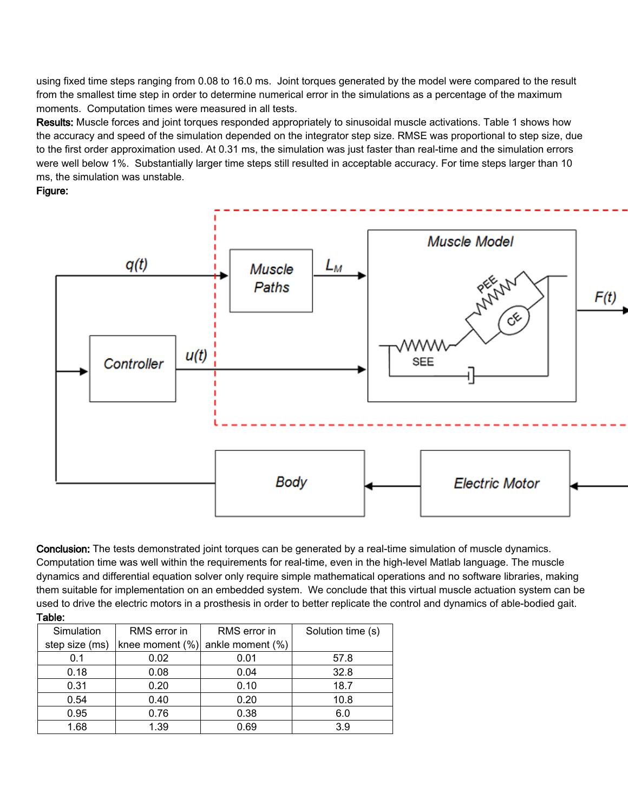using fixed time steps ranging from 0.08 to 16.0 ms. Joint torques generated by the model were compared to the result from the smallest time step in order to determine numerical error in the simulations as a percentage of the maximum moments. Computation times were measured in all tests.

Results: Muscle forces and joint torques responded appropriately to sinusoidal muscle activations. Table 1 shows how the accuracy and speed of the simulation depended on the integrator step size. RMSE was proportional to step size, due to the first order approximation used. At 0.31 ms, the simulation was just faster than real-time and the simulation errors were well below 1%. Substantially larger time steps still resulted in acceptable accuracy. For time steps larger than 10 ms, the simulation was unstable.

## Figure:



Conclusion: The tests demonstrated joint torques can be generated by a real-time simulation of muscle dynamics. Computation time was well within the requirements for real-time, even in the high-level Matlab language. The muscle dynamics and differential equation solver only require simple mathematical operations and no software libraries, making them suitable for implementation on an embedded system. We conclude that this virtual muscle actuation system can be used to drive the electric motors in a prosthesis in order to better replicate the control and dynamics of able-bodied gait. Table:

| Simulation     | RMS error in       | RMS error in     | Solution time (s) |
|----------------|--------------------|------------------|-------------------|
| step size (ms) | knee moment $(\%)$ | ankle moment (%) |                   |
| 0.1            | 0.02               | 0.01             | 57.8              |
| 0.18           | 0.08               | 0.04             | 32.8              |
| 0.31           | 0.20               | 0.10             | 18.7              |
| 0.54           | 0.40               | 0.20             | 10.8              |
| 0.95           | 0.76               | 0.38             | 6.0               |
| 1.68           | 1.39               | 0.69             | 3.9               |